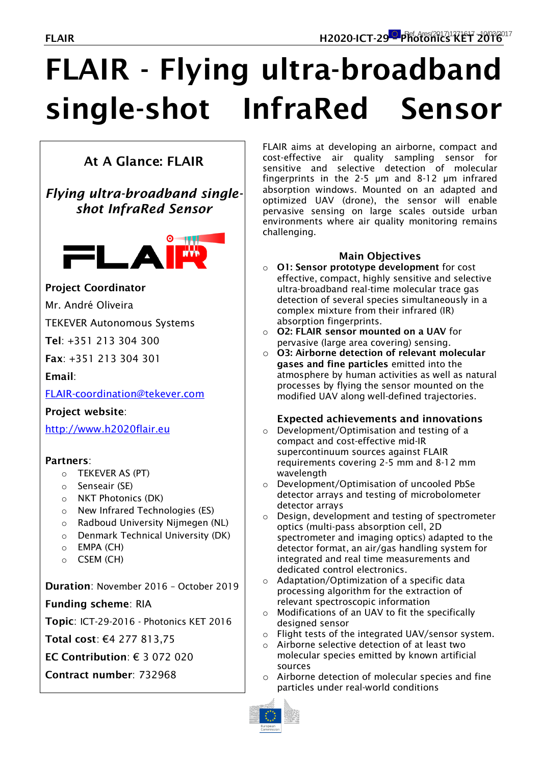# **FLAIR - Flying ultra-broadband single-shot InfraRed Sensor**

# **At A Glance: FLAIR**

## *Flying ultra-broadband singleshot InfraRed Sensor*



### **Project Coordinator**

Mr. André Oliveira

TEKEVER Autonomous Systems

**Tel**: +351 213 304 300

**Fax**: +351 213 304 301

**Email**:

[FLAIR-coordination@tekever.com](mailto:FLAIR-coordination@tekever.com)

### **Project website**:

[http://www.h2020flair.eu](http://www.h2020flair.eu/)

### **Partners**:

- o TEKEVER AS (PT)
- o Senseair (SE)
- o NKT Photonics (DK)
- o New Infrared Technologies (ES)
- o Radboud University Nijmegen (NL)
- o Denmark Technical University (DK)
- o EMPA (CH)
- o CSEM (CH)

**Duration**: November 2016 – October 2019

### **Funding scheme**: RIA

**Topic**: ICT-29-2016 - Photonics KET 2016

**Total cost**: €4 277 813,75

- **EC Contribution**: € 3 072 020
- **Contract number**: 732968

FLAIR aims at developing an airborne, compact and cost-effective air quality sampling sensor for sensitive and selective detection of molecular fingerprints in the 2-5 μm and 8-12 μm infrared absorption windows. Mounted on an adapted and optimized UAV (drone), the sensor will enable pervasive sensing on large scales outside urban environments where air quality monitoring remains challenging.

### **Main Objectives**

- o **O1: Sensor prototype development** for cost effective, compact, highly sensitive and selective ultra-broadband real-time molecular trace gas detection of several species simultaneously in a complex mixture from their infrared (IR) absorption fingerprints.
- o **O2: FLAIR sensor mounted on a UAV** for pervasive (large area covering) sensing.
- o **O3: Airborne detection of relevant molecular gases and fine particles** emitted into the atmosphere by human activities as well as natural processes by flying the sensor mounted on the modified UAV along well-defined trajectories.

### **Expected achievements and innovations**

- o Development/Optimisation and testing of a compact and cost-effective mid-IR supercontinuum sources against FLAIR requirements covering 2-5 mm and 8-12 mm wavelength
- o Development/Optimisation of uncooled PbSe detector arrays and testing of microbolometer detector arrays
- o Design, development and testing of spectrometer optics (multi-pass absorption cell, 2D spectrometer and imaging optics) adapted to the detector format, an air/gas handling system for integrated and real time measurements and dedicated control electronics.
- o Adaptation/Optimization of a specific data processing algorithm for the extraction of relevant spectroscopic information
- o Modifications of an UAV to fit the specifically designed sensor
- o Flight tests of the integrated UAV/sensor system.
- o Airborne selective detection of at least two molecular species emitted by known artificial sources
- o Airborne detection of molecular species and fine particles under real-world conditions